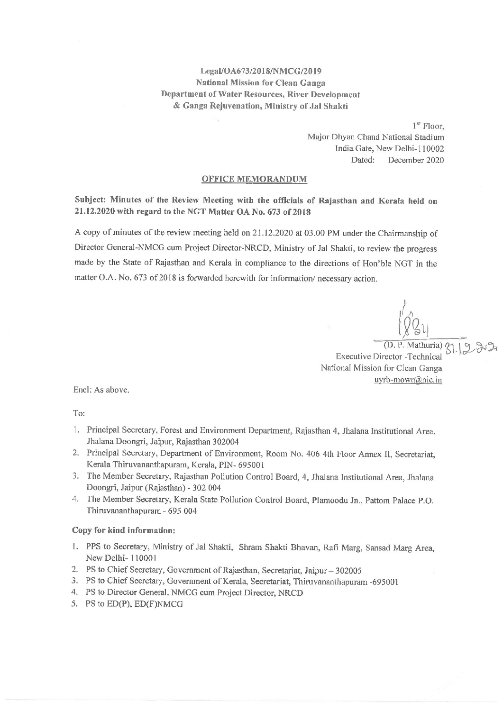### Legal/OA673/2018/NMCG/2019 **National Mission for Clean Ganga** Department of Water Resources, River Development & Ganga Rejuvenation, Ministry of Jal Shakti

 $1<sup>st</sup>$  Floor. Major Dhyan Chand National Stadium India Gate, New Delhi-110002 Dated: December 2020

#### **OFFICE MEMORANDUM**

Subject: Minutes of the Review Meeting with the officials of Rajasthan and Kerala held on 21.12.2020 with regard to the NGT Matter OA No. 673 of 2018

A copy of minutes of the review meeting held on 21.12.2020 at 03.00 PM under the Chairmanship of Director General-NMCG cum Project Director-NRCD, Ministry of Jal Shakti, to review the progress made by the State of Rajasthan and Kerala in compliance to the directions of Hon'ble NGT in the matter O.A. No. 673 of 2018 is forwarded herewith for information/ necessary action.

(D. P. Mathuria) **Executive Director -Technical** National Mission for Clean Ganga uyrb-mowr@nic.in

Encl: As above.

To:

- 1. Principal Secretary, Forest and Environment Department, Rajasthan 4, Jhalana Institutional Area, Jhalana Doongri, Jaipur, Rajasthan 302004
- 2. Principal Secretary, Department of Environment, Room No. 406 4th Floor Annex II, Secretariat, Kerala Thiruvananthapuram, Kerala, PIN- 695001
- 3. The Member Secretary, Rajasthan Pollution Control Board, 4, Jhalana Institutional Area, Jhalana Doongri, Jaipur (Rajasthan) - 302 004
- 4. The Member Secretary, Kerala State Pollution Control Board, Plamoodu Jn., Pattom Palace P.O. Thiruvananthapuram - 695 004

#### Copy for kind information:

- 1. PPS to Secretary, Ministry of Jal Shakti, Shram Shakti Bhavan, Rafi Marg, Sansad Marg Area, New Delhi-110001
- 2. PS to Chief Secretary, Government of Rajasthan, Secretariat, Jaipur 302005
- 3. PS to Chief Secretary, Government of Kerala, Secretariat, Thiruvananthapuram -695001
- 4. PS to Director General, NMCG cum Project Director, NRCD
- 5. PS to ED(P), ED(F)NMCG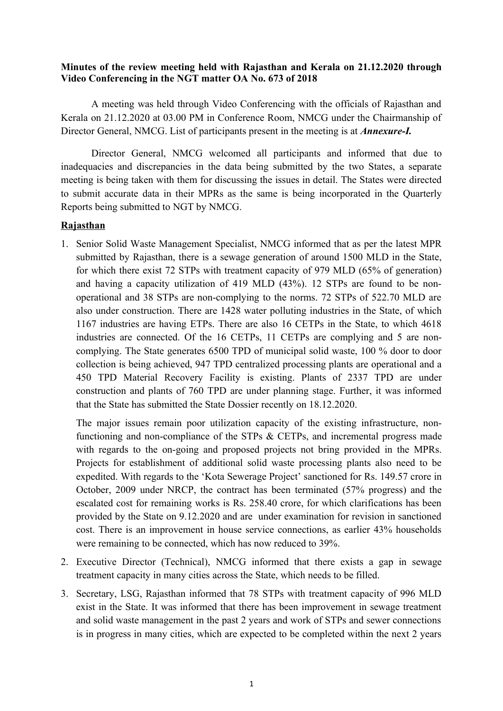## **Minutes of the review meeting held with Rajasthan and Kerala on 21.12.2020 through Video Conferencing in the NGT matter OA No. 673 of 2018**

A meeting was held through Video Conferencing with the officials of Rajasthan and Kerala on 21.12.2020 at 03.00 PM in Conference Room, NMCG under the Chairmanship of Director General, NMCG. List of participants present in the meeting is at *Annexure-I.*

Director General, NMCG welcomed all participants and informed that due to inadequacies and discrepancies in the data being submitted by the two States, a separate meeting is being taken with them for discussing the issues in detail. The States were directed to submit accurate data in their MPRs as the same is being incorporated in the Quarterly Reports being submitted to NGT by NMCG.

# **Rajasthan**

1. Senior Solid Waste Management Specialist, NMCG informed that as per the latest MPR submitted by Rajasthan, there is a sewage generation of around 1500 MLD in the State, for which there exist 72 STPs with treatment capacity of 979 MLD (65% of generation) and having a capacity utilization of 419 MLD (43%). 12 STPs are found to be nonoperational and 38 STPs are non-complying to the norms. 72 STPs of 522.70 MLD are also under construction. There are 1428 water polluting industries in the State, of which 1167 industries are having ETPs. There are also 16 CETPs in the State, to which 4618 industries are connected. Of the 16 CETPs, 11 CETPs are complying and 5 are noncomplying. The State generates 6500 TPD of municipal solid waste, 100 % door to door collection is being achieved, 947 TPD centralized processing plants are operational and a 450 TPD Material Recovery Facility is existing. Plants of 2337 TPD are under construction and plants of 760 TPD are under planning stage. Further, it was informed that the State has submitted the State Dossier recently on 18.12.2020.

The major issues remain poor utilization capacity of the existing infrastructure, nonfunctioning and non-compliance of the STPs & CETPs, and incremental progress made with regards to the on-going and proposed projects not bring provided in the MPRs. Projects for establishment of additional solid waste processing plants also need to be expedited. With regards to the 'Kota Sewerage Project' sanctioned for Rs. 149.57 crore in October, 2009 under NRCP, the contract has been terminated (57% progress) and the escalated cost for remaining works is Rs. 258.40 crore, for which clarifications has been provided by the State on 9.12.2020 and are under examination for revision in sanctioned cost. There is an improvement in house service connections, as earlier 43% households were remaining to be connected, which has now reduced to 39%.

- 2. Executive Director (Technical), NMCG informed that there exists a gap in sewage treatment capacity in many cities across the State, which needs to be filled.
- 3. Secretary, LSG, Rajasthan informed that 78 STPs with treatment capacity of 996 MLD exist in the State. It was informed that there has been improvement in sewage treatment and solid waste management in the past 2 years and work of STPs and sewer connections is in progress in many cities, which are expected to be completed within the next 2 years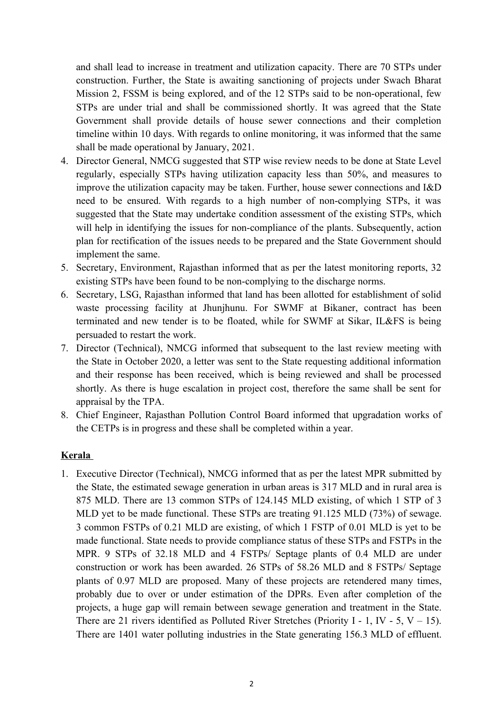and shall lead to increase in treatment and utilization capacity. There are 70 STPs under construction. Further, the State is awaiting sanctioning of projects under Swach Bharat Mission 2, FSSM is being explored, and of the 12 STPs said to be non-operational, few STPs are under trial and shall be commissioned shortly. It was agreed that the State Government shall provide details of house sewer connections and their completion timeline within 10 days. With regards to online monitoring, it was informed that the same shall be made operational by January, 2021.

- 4. Director General, NMCG suggested that STP wise review needs to be done at State Level regularly, especially STPs having utilization capacity less than 50%, and measures to improve the utilization capacity may be taken. Further, house sewer connections and I&D need to be ensured. With regards to a high number of non-complying STPs, it was suggested that the State may undertake condition assessment of the existing STPs, which will help in identifying the issues for non-compliance of the plants. Subsequently, action plan for rectification of the issues needs to be prepared and the State Government should implement the same.
- 5. Secretary, Environment, Rajasthan informed that as per the latest monitoring reports, 32 existing STPs have been found to be non-complying to the discharge norms.
- 6. Secretary, LSG, Rajasthan informed that land has been allotted for establishment of solid waste processing facility at Jhunjhunu. For SWMF at Bikaner, contract has been terminated and new tender is to be floated, while for SWMF at Sikar, IL&FS is being persuaded to restart the work.
- 7. Director (Technical), NMCG informed that subsequent to the last review meeting with the State in October 2020, a letter was sent to the State requesting additional information and their response has been received, which is being reviewed and shall be processed shortly. As there is huge escalation in project cost, therefore the same shall be sent for appraisal by the TPA.
- 8. Chief Engineer, Rajasthan Pollution Control Board informed that upgradation works of the CETPs is in progress and these shall be completed within a year.

## **Kerala**

1. Executive Director (Technical), NMCG informed that as per the latest MPR submitted by the State, the estimated sewage generation in urban areas is 317 MLD and in rural area is 875 MLD. There are 13 common STPs of 124.145 MLD existing, of which 1 STP of 3 MLD yet to be made functional. These STPs are treating 91.125 MLD (73%) of sewage. 3 common FSTPs of 0.21 MLD are existing, of which 1 FSTP of 0.01 MLD is yet to be made functional. State needs to provide compliance status of these STPs and FSTPs in the MPR. 9 STPs of 32.18 MLD and 4 FSTPs/ Septage plants of 0.4 MLD are under construction or work has been awarded. 26 STPs of 58.26 MLD and 8 FSTPs/ Septage plants of 0.97 MLD are proposed. Many of these projects are retendered many times, probably due to over or under estimation of the DPRs. Even after completion of the projects, a huge gap will remain between sewage generation and treatment in the State. There are 21 rivers identified as Polluted River Stretches (Priority I - 1, IV - 5, V – 15). There are 1401 water polluting industries in the State generating 156.3 MLD of effluent.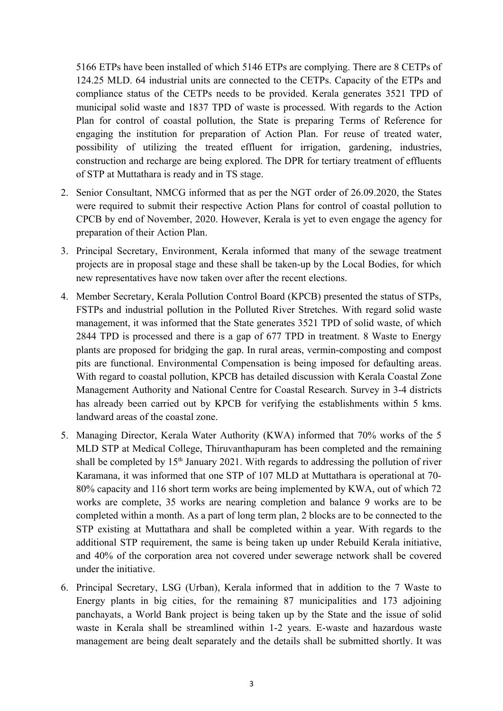5166 ETPs have been installed of which 5146 ETPs are complying. There are 8 CETPs of 124.25 MLD. 64 industrial units are connected to the CETPs. Capacity of the ETPs and compliance status of the CETPs needs to be provided. Kerala generates 3521 TPD of municipal solid waste and 1837 TPD of waste is processed. With regards to the Action Plan for control of coastal pollution, the State is preparing Terms of Reference for engaging the institution for preparation of Action Plan. For reuse of treated water, possibility of utilizing the treated effluent for irrigation, gardening, industries, construction and recharge are being explored. The DPR for tertiary treatment of effluents of STP at Muttathara is ready and in TS stage.

- 2. Senior Consultant, NMCG informed that as per the NGT order of 26.09.2020, the States were required to submit their respective Action Plans for control of coastal pollution to CPCB by end of November, 2020. However, Kerala is yet to even engage the agency for preparation of their Action Plan.
- 3. Principal Secretary, Environment, Kerala informed that many of the sewage treatment projects are in proposal stage and these shall be taken-up by the Local Bodies, for which new representatives have now taken over after the recent elections.
- 4. Member Secretary, Kerala Pollution Control Board (KPCB) presented the status of STPs, FSTPs and industrial pollution in the Polluted River Stretches. With regard solid waste management, it was informed that the State generates 3521 TPD of solid waste, of which 2844 TPD is processed and there is a gap of 677 TPD in treatment. 8 Waste to Energy plants are proposed for bridging the gap. In rural areas, vermin-composting and compost pits are functional. Environmental Compensation is being imposed for defaulting areas. With regard to coastal pollution, KPCB has detailed discussion with Kerala Coastal Zone Management Authority and National Centre for Coastal Research. Survey in 3-4 districts has already been carried out by KPCB for verifying the establishments within 5 kms. landward areas of the coastal zone.
- 5. Managing Director, Kerala Water Authority (KWA) informed that 70% works of the 5 MLD STP at Medical College, Thiruvanthapuram has been completed and the remaining shall be completed by  $15<sup>th</sup>$  January 2021. With regards to addressing the pollution of river Karamana, it was informed that one STP of 107 MLD at Muttathara is operational at 70- 80% capacity and 116 short term works are being implemented by KWA, out of which 72 works are complete, 35 works are nearing completion and balance 9 works are to be completed within a month. As a part of long term plan, 2 blocks are to be connected to the STP existing at Muttathara and shall be completed within a year. With regards to the additional STP requirement, the same is being taken up under Rebuild Kerala initiative, and 40% of the corporation area not covered under sewerage network shall be covered under the initiative.
- 6. Principal Secretary, LSG (Urban), Kerala informed that in addition to the 7 Waste to Energy plants in big cities, for the remaining 87 municipalities and 173 adjoining panchayats, a World Bank project is being taken up by the State and the issue of solid waste in Kerala shall be streamlined within 1-2 years. E-waste and hazardous waste management are being dealt separately and the details shall be submitted shortly. It was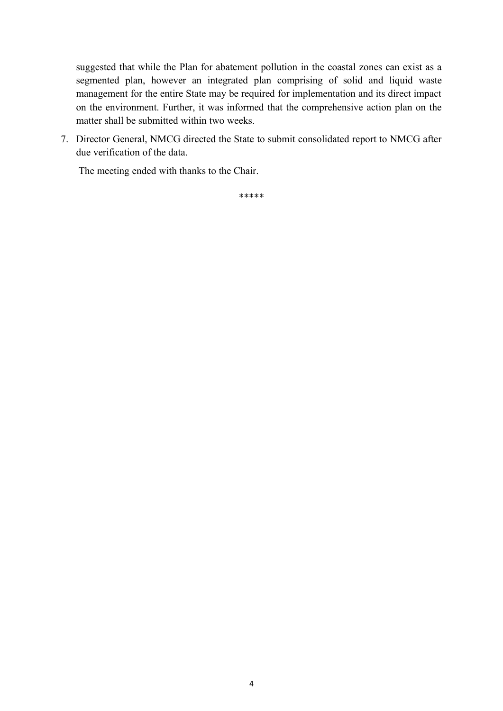suggested that while the Plan for abatement pollution in the coastal zones can exist as a segmented plan, however an integrated plan comprising of solid and liquid waste management for the entire State may be required for implementation and its direct impact on the environment. Further, it was informed that the comprehensive action plan on the matter shall be submitted within two weeks.

7. Director General, NMCG directed the State to submit consolidated report to NMCG after due verification of the data.

The meeting ended with thanks to the Chair.

\*\*\*\*\*